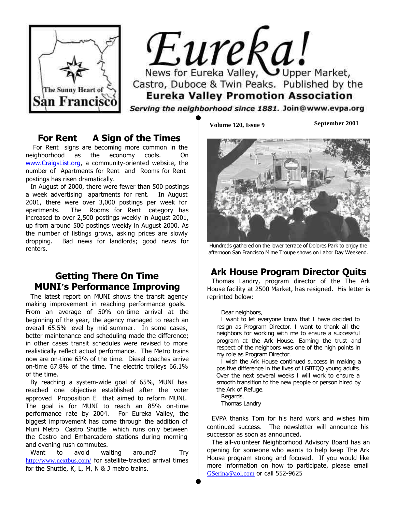

# Eureka! News for Eureka Valley, Upper Market, Castro, Duboce & Twin Peaks. Published by the **Eureka Valley Promotion Association**

Serving the neighborhood since 1881. Join@www.evpa.org

#### **"For Rent" A Sign of the Times**

For Rent signs are becoming more common in the neighborhood as the economy cools. On [www.CraigsList.org,](http://www.craigslist.org) a community-oriented website, the number of Apartments for Rent and Rooms for Rent postings has risen dramatically.

In August of 2000, there were fewer than 500 postings a week advertising apartments for rent. In August 2001, there were over 3,000 postings per week for apartments. The Rooms for Rent category has increased to over 2,500 postings weekly in August 2001, up from around 500 postings weekly in August 2000. As the number of listings grows, asking prices are slowly dropping. Bad news for landlords; good news for renters.

#### **Getting There On Time MUNI's Performance Improving**

The latest report on MUNI shows the transit agency making improvement in reaching performance goals. From an average of 50% on-time arrival at the beginning of the year, the agency managed to reach an overall 65.5% level by mid-summer. In some cases, better maintenance and scheduling made the difference; in other cases transit schedules were revised to more realistically reflect actual performance. The Metro trains now are on-time 63% of the time. Diesel coaches arrive on-time 67.8% of the time. The electric trolleys 66.1% of the time.

By reaching a system-wide goal of 65%, MUNI has reached one objective established after the voter approved Proposition E that aimed to reform MUNI. The goal is for MUNI to reach an 85% on-time performance rate by 2004. For Eureka Valley, the biggest improvement has come through the addition of Muni Metro Castro Shuttle which runs only between the Castro and Embarcadero stations during morning and evening rush commutes.

Want to avoid waiting around? Try [http://www.nextbus.com/](http://www.nextbus.com) for satellite-tracked arrival times for the Shuttle, K, L, M, N & J metro trains.

**Volume 120, Issue 9 September 2001**



Hundreds gathered on the lower terrace of Dolores Park to enjoy the afternoon San Francisco Mime Troupe shows on Labor Day Weekend.

# **Ark House Program Director Quits**

Thomas Landry, program director of the The Ark House facility at 2500 Market, has resigned. His letter is reprinted below:

#### *Dear neighbors,*

*I want to let everyone know that I have decided to resign as Program Director. I want to thank all the neighbors for working with me to ensure a successful program at the Ark House. Earning the trust and respect of the neighbors was one of the high points in my role as Program Director.*

*I wish the Ark House continued success in making a positive difference in the lives of LGBTQQ young adults. Over the next several weeks I will work to ensure a smooth transition to the new people or person hired by the Ark of Refuge.*

*Regards, Thomas Landry*

EVPA thanks Tom for his hard work and wishes him continued success. The newsletter will announce his successor as soon as announced.

The all-volunteer Neighborhood Advisory Board has an opening for someone who wants to help keep The Ark House program strong and focused. If you would like more information on how to participate, please email [GSerina@aol.com](mailto:gserina@aol.com) or call 552-9625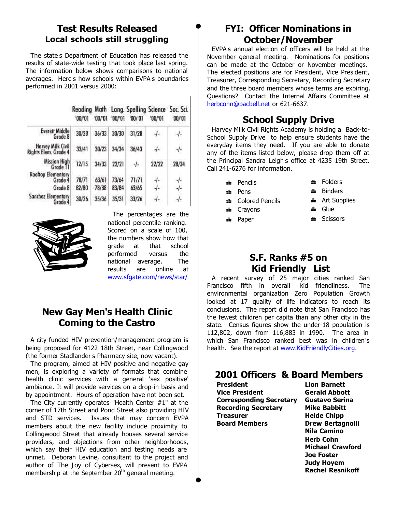## **Test Results Released Local schools still struggling**

The state's Department of Education has released the results of state-wide testing that took place last spring. The information below shows comparisons to national averages. Here's how schools within EVPA's boundaries performed in 2001 versus 2000:

|                                           | '00/'01 | 00/01 | '00/'01 | '00/'01 | '00/01   | Reading Math Lang. Spelling Science Soc. Sci.<br>'00/'01 |
|-------------------------------------------|---------|-------|---------|---------|----------|----------------------------------------------------------|
| <b>Everett Middle</b><br>Grade 8          | 30/28   | 36/33 | 30/30   | 31/28   | $-1$     | $-1$                                                     |
| Harvey Milk Civil<br>Rights Elem. Grade 4 | 33/41   | 30/23 | 34/34   | 36/43   | $-I -$   | $-1$                                                     |
| <b>Mission High</b><br>Grade 11           | 12/15   | 34/33 | 22/21   | $-1$    | 22/22    | 28/34                                                    |
| <b>Rooftop Elementary</b><br>Grade 4      | 78/71   | 63/61 | 73/64   | 71/71   | $-I -$   | $-1$                                                     |
| Grade 8                                   | 82/80   | 78/88 | 83/84   | 63/65   | $\alpha$ | -/-                                                      |
| <b>Sanchez Elementary</b><br>Grade 4      | 30/26   | 35/36 | 35/31   | 33/26   | $-1-$    | -1-                                                      |



The percentages are the national percentile ranking. Scored on a scale of 100, the numbers show how that grade at that school performed versus the national average. The results are online at [www.sfgate.com/news/star/](http://www.sfgate.com/news/star/)

## **New Gay Men's Health Clinic Coming to the Castro**

A city-funded HIV prevention/management program is being proposed for 4122 18th Street, near Collingwood (the former Stadlander s Pharmacy site, now vacant).

The program, aimed at HIV positive and negative gay men, is exploring a variety of formats that combine health clinic services with a general 'sex positive' ambiance. It will provide services on a drop-in basis and by appointment. Hours of operation have not been set.

The City currently operates "Health Center #1" at the corner of 17th Street and Pond Street also providing HIV and STD services. Issues that may concern EVPA members about the new facility include proximity to Collingwood Street that already houses several service providers, and objections from other neighborhoods, which say their HIV education and testing needs are unmet. Deborah Levine, consultant to the project and author of *The Joy of Cybersex*, will present to EVPA membership at the September 20<sup>th</sup> general meeting.

## **FYI: Officer Nominations in October/November**

EVPA's annual election of officers will be held at the November general meeting. Nominations for positions can be made at the October or November meetings. The elected positions are for President, Vice President, Treasurer, Corresponding Secretary, Recording Secretary and the three board members whose terms are expiring. Questions? Contact the Internal Affairs Committee at [herbcohn@pacbell.net](mailto:herbcohn@pacbell.net) or 621-6637.

# **School Supply Drive**

Harvey Milk Civil Rights Academy is holding a Back-to-School Supply Drive to help ensure students have the everyday items they need. If you are able to donate any of the items listed below, please drop them off at the Principal Sandra Leigh's office at 4235 19th Street. Call 241-6276 for information.

- **a** Pencils
- ≞ Pens
- **a** Colored Pencils
- **a** Crayons
- $\triangle$  Paper
- $\triangle$  Folders *A* Binders
- **Art Supplies**
- **f** Glue

 $S$ Cissors

- - **S.F. Ranks #5 on "Kid Friendly" List**

A recent survey of 25 major cities ranked San Francisco fifth in overall kid friendliness. The environmental organization Zero Population Growth looked at 17 quality of life indicators to reach its conclusions. The report did note that San Francisco has the fewest children per capita than any other city in the state. Census figures show the under-18 population is 112,802, down from 116,883 in 1990. The area in which San Francisco ranked best was in children's health. See the report at [www.KidFriendlyCities.org.](http://www.kidfriendlycities.org)

# **2001 Officers & Board Members**

**President Lion Barnett Vice President Gerald Abbott Corresponding Secretary Gustavo Serina Recording Secretary Mike Babbitt Treasurer Meide Chipp Board Members Drew Bertagnolli** 

**Nila Camino Herb Cohn Michael Crawford Joe Foster Judy Hoyem Rachel Resnikoff**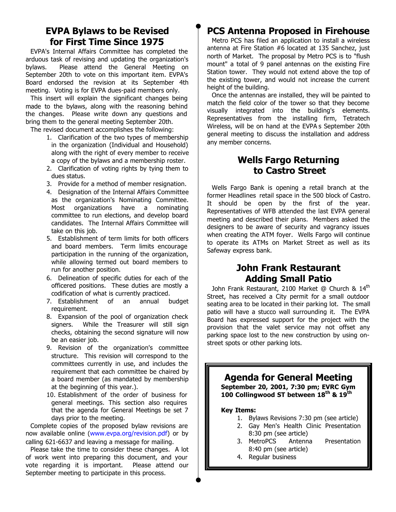#### **EVPA Bylaws to be Revised for First Time Since 1975**

EVPA's Internal Affairs Committee has completed the arduous task of revising and updating the organization's bylaws. Please attend the General Meeting on September 20th to vote on this important item. EVPA's Board endorsed the revision at its September 4th meeting. Voting is for EVPA dues-paid members only.

This insert will explain the significant changes being made to the bylaws, along with the reasoning behind the changes. Please write down any questions and bring them to the general meeting September 20th.

The revised document accomplishes the following:

- 1. Clarification of the two types of membership in the organization (Individual and Household) along with the right of every member to receive a copy of the bylaws and a membership roster.
- 2. Clarification of voting rights by tying them to dues status.
- 3. Provide for a method of member resignation.
- 4. Designation of the Internal Affairs Committee as the organization's Nominating Committee. Most organizations have a nominating committee to run elections, and develop board candidates. The Internal Affairs Committee will take on this job.
- 5. Establishment of term limits for both officers and board members. Term limits encourage participation in the running of the organization, while allowing termed out board members to run for another position.
- 6. Delineation of specific duties for each of the officered positions. These duties are mostly a codification of what is currently practiced.
- 7. Establishment of an annual budget requirement.
- 8. Expansion of the pool of organization check signers. While the Treasurer will still sign checks, obtaining the second signature will now be an easier job.
- 9. Revision of the organization's committee structure. This revision will correspond to the committees currently in use, and includes the requirement that each committee be chaired by a board member (as mandated by membership at the beginning of this year.).
- 10. Establishment of the order of business for general meetings. This section also requires that the agenda for General Meetings be set 7 days prior to the meeting.

Complete copies of the proposed bylaw revisions are now available online [\(www.evpa.org/revision.pdf\)](http://www.evpa.org/revision.pdf) or by calling 621-6637 and leaving a message for mailing.

Please take the time to consider these changes. A lot of work went into preparing this document, and your vote regarding it is important. Please attend our September meeting to participate in this process.

# **PCS Antenna Proposed in Firehouse**

Metro PCS has filed an application to install a wireless antenna at Fire Station #6 located at 135 Sanchez, just north of Market. The proposal by Metro PCS is to "flush mount" a total of 9 panel antennas on the existing Fire Station tower. They would not extend above the top of the existing tower, and would not increase the current height of the building.

Once the antennas are installed, they will be painted to match the field color of the tower so that they become visually integrated into the building's elements. Representatives from the installing firm, Tetratech Wireless, will be on hand at the EVPA's September 20th general meeting to discuss the installation and address any member concerns.

## **Wells Fargo Returning to Castro Street**

Wells Fargo Bank is opening a retail branch at the former Headlines retail space in the 500 block of Castro. It should be open by the first of the year. Representatives of WFB attended the last EVPA general meeting and described their plans. Members asked the designers to be aware of security and vagrancy issues when creating the ATM foyer. Wells Fargo will continue to operate its ATMs on Market Street as well as its Safeway express bank.

#### **John Frank Restaurant Adding Small Patio**

John Frank Restaurant, 2100 Market @ Church & 14<sup>th</sup> Street, has received a City permit for a small outdoor seating area to be located in their parking lot. The small patio will have a stucco wall surrounding it. The EVPA Board has expressed support for the project with the provision that the valet service may not offset any parking space lost to the new construction by using onstreet spots or other parking lots.

# **Agenda for General Meeting September 20, 2001, 7:30 pm; EVRC Gym 100 Collingwood ST between 18th & 19th Key Items:** 1. Bylaws Revisions 7:30 pm (see article)

- 2. Gay Men's Health Clinic Presentation 8:30 pm (see article)
- 3. MetroPCS Antenna Presentation 8:40 pm (see article)
- 4. Regular business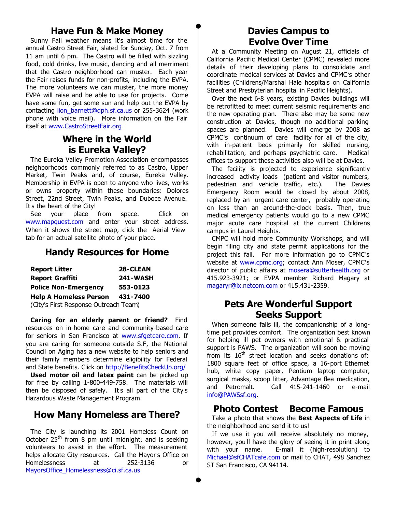#### **Have Fun & Make Money**

Sunny Fall weather means it's almost time for the annual Castro Street Fair, slated for Sunday, Oct. 7 from 11 am until 6 pm. The Castro will be filled with sizzling food, cold drinks, live music, dancing and all merriment that the Castro neighborhood can muster. Each year the Fair raises funds for non-profits, including the EVPA. The more volunteers we can muster, the more money EVPA will raise and be able to use for projects. Come have some fun, get some sun and help out the EVPA by contacting [lion\\_barnett@dph.sf.ca.us](lion_barnett@dph.sf.ca.us) or 255-3624 (work phone with voice mail). More information on the Fair itself at [www.CastroStreetFair.org](http://www.castrostreetfair.org)

## **Where in the World is Eureka Valley?**

The Eureka Valley Promotion Association encompasses neighborhoods commonly referred to as Castro, Upper Market, Twin Peaks and, of course, Eureka Valley. Membership in EVPA is open to anyone who lives, works or owns property within these boundaries: Dolores Street, 22nd Street, Twin Peaks, and Duboce Avenue. It s the heart of the City!

See your place from space. Click on [www.mapquest.com](http://www.mapquest.com) and enter your street address. When it shows the street map, click the Aerial View tab for an actual satellite photo of your place.

#### **Handy Resources for Home**

| <b>Report Litter</b>                  | 28-CLEAN        |
|---------------------------------------|-----------------|
| <b>Report Graffiti</b>                | <b>241-WASH</b> |
| <b>Police Non-Emergency</b>           | 553-0123        |
| <b>Help A Homeless Person</b>         | 431-7400        |
| (City's First Response Outreach Team) |                 |

**Caring for an elderly parent or friend?** Find resources on in-home care and community-based care for seniors in San Francisco at [www.sfgetcare.com.](http://www.sfgetcare.com) If you are caring for someone outside S.F, the National Council on Aging has a new website to help seniors and their family members determine eligibility for Federal and State benefits. Click on [http://BenefitsCheckUp.org/](http://benefitscheckup.org)

**Used motor oil and latex paint** can be picked up for free by calling 1-800-449-758. The materials will then be disposed of safely. It s all part of the City's Hazardous Waste Management Program.

#### **How Many Homeless are There?**

The City is launching its 2001 Homeless Count on October  $25<sup>th</sup>$  from 8 pm until midnight, and is seeking volunteers to assist in the effort. The measurement helps allocate City resources. Call the Mayor's Office on Homelessness at 252-3136 or [MayorsOffice\\_Homelessness@ci.sf.ca.us](mailto:mayorsOffice_homelessness@ci.sf.ca.us)

## **Davies Campus to Evolve Over Time**

At a Community Meeting on August 21, officials of California Pacific Medical Center (CPMC) revealed more details of their developing plans to consolidate and coordinate medical services at Davies and CPMC's other facilities (Childrens/Marshal Hale hospitals on California Street and Presbyterian hospital in Pacific Heights).

Over the next 6-8 years, existing Davies buildings will be retrofitted to meet current seismic requirements and the new operating plan. There also may be some new construction at Davies, though no additional parking spaces are planned. Davies will emerge by 2008 as CPMC's continuum of care facility for all of the city, with in-patient beds primarily for skilled nursing, rehabilitation, and perhaps psychiatric care. Medical offices to support these activities also will be at Davies.

The facility is projected to experience significantly increased activity loads (patient and visitor numbers, pedestrian and vehicle traffic, etc.). The Davies Emergency Room would be closed by about 2008, replaced by an urgent care center, probably operating on less than an around-the-clock basis. Then, true medical emergency patients would go to a new CPMC major acute care hospital at the current Childrens campus in Laurel Heights.

CMPC will hold more Community Workshops, and will begin filing city and state permit applications for the project this fall. For more information go to CPMC's website at [www.cpmc.org;](http://www.cpmc.org) contact Ann Moser, CPMC's director of public affairs at [mosera@sutterhealth.org](mailto:mosera@sutterhealth.org) or 415.923-3921; or EVPA member Richard Magary at [magaryr@ix.netcom.com](mailto:magaryr@ix.netcom.com) or 415.431-2359.

#### **Pets Are Wonderful Support Seeks Support**

When someone falls ill, the companionship of a longtime pet provides comfort. The organization best known for helping ill pet owners with emotional & practical support is PAWS. The organization will soon be moving from its  $16<sup>th</sup>$  street location and seeks donations of: 1800 square feet of office space, a 16-port Ethernet hub, white copy paper, Pentium laptop computer, surgical masks, scoop litter, Advantage flea medication, and Petromalt. Call 415-241-1460 or e-mail [info@PAWSsf.org.](mailto:info@evpa.org)

#### **Photo Contest Become Famous**

Take a photo that shows the **Best Aspects of Life** in the neighborhood and send it to us!

If we use it you will receive absolutely no money, however, you'll have the glory of seeing it in print along with your name. E-mail it (high-resolution) to [Michael@sfCHATcafe.com](mailto:michael@sfchatcafe.com) or mail to CHAT, 498 Sanchez ST San Francisco, CA 94114.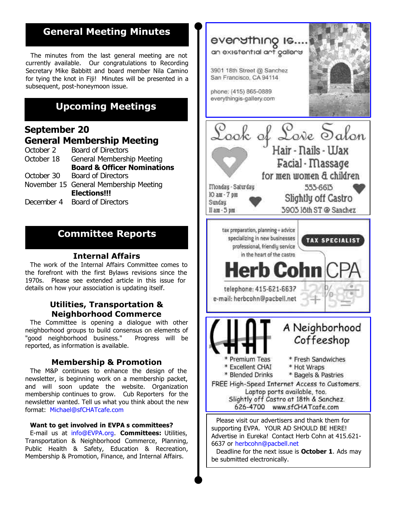# **General Meeting Minutes**

The minutes from the last general meeting are not currently available. Our congratulations to Recording Secretary Mike Babbitt and board member Nila Camino for tying the knot in Fiji! Minutes will be presented in a subsequent, post-honeymoon issue.

# **Upcoming Meetings**

#### **September 20 General Membership Meeting**

- *October 2 Board of Directors*
- October 18 General Membership Meeting **Board & Officer Nominations** *October 30 Board of Directors* November 15 General Membership Meeting **Elections!!!**
- *December 4 Board of Directors*

## **Committee Reports**

#### **Internal Affairs**

The work of the Internal Affairs Committee comes to the forefront with the first Bylaws revisions since the 1970s. Please see extended article in this issue for details on how your association is updating itself.

#### **Utilities, Transportation & Neighborhood Commerce**

The Committee is opening a dialogue with other neighborhood groups to build consensus on elements of "good neighborhood business." Progress will be reported, as information is available.

#### **Membership & Promotion**

The M&P continues to enhance the design of the newsletter, is beginning work on a membership packet, and will soon update the website. Organization membership continues to grow. Cub Reporters for the newsletter wanted. Tell us what you think about the new format: [Michael@sfCHATcafe.com](mailto:michael@sfchatcafe.com)

#### **Want to get involved in EVPA s committees?**

E-mail us at [info@EVPA.org](mailto:info@evpa.org). **Committees:** Utilities, Transportation & Neighborhood Commerce, Planning, Public Health & Safety, Education & Recreation, Membership & Promotion, Finance, and Internal Affairs.



Deadline for the next issue is **October 1**. Ads may be submitted electronically.